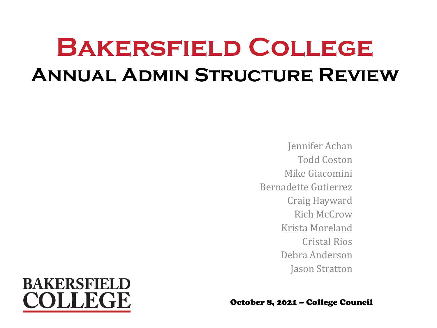# **Bakersfield College Annual Admin Structure Review**

Jennifer Achan Todd Coston Mike Giacomini Bernadette Gutierrez Craig Hayward Rich McCrow Krista Moreland Cristal Rios Debra Anderson Jason Stratton



October 8, 2021 – College Council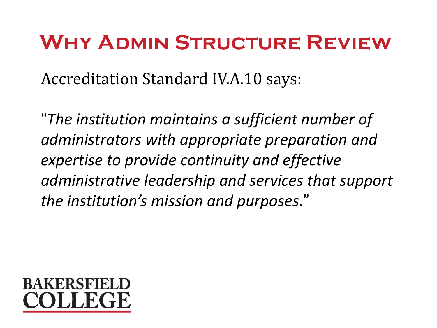## **Why Admin Structure Review**

Accreditation Standard IV.A.10 says:

"*The institution maintains a sufficient number of administrators with appropriate preparation and expertise to provide continuity and effective administrative leadership and services that support the institution's mission and purposes*."

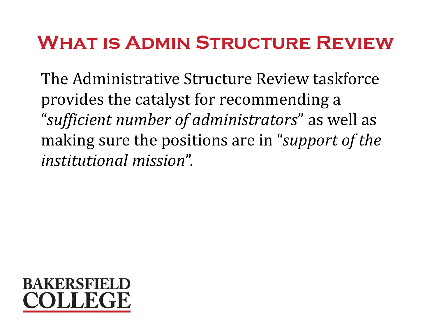### **What is Admin Structure Review**

The Administrative Structure Review taskforce provides the catalyst for recommending a "*sufficient number of administrators*" as well as making sure the positions are in "*support of the institutional mission*".

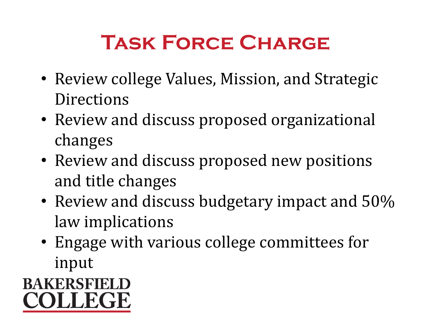# **Task Force Charge**

- Review college Values, Mission, and Strategic **Directions**
- Review and discuss proposed organizational changes
- Review and discuss proposed new positions and title changes
- Review and discuss budgetary impact and 50% law implications
- Engage with various college committees for input

### **BAKERSFIELD** COLLEGE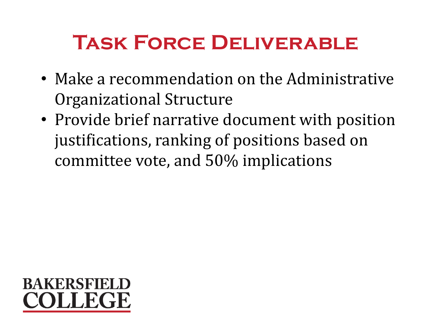# **Task Force Deliverable**

- Make a recommendation on the Administrative Organizational Structure
- Provide brief narrative document with position justifications, ranking of positions based on committee vote, and 50% implications

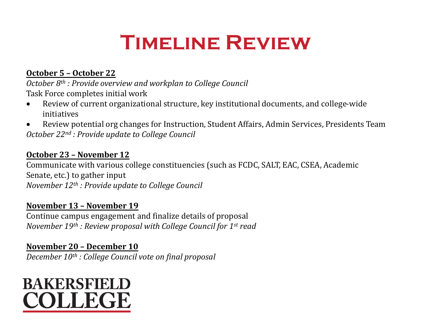# **Timeline Review**

#### **October 5 – October 22**

*October 8th : Provide overview and workplan to College Council* Task Force completes initial work

- Review of current organizational structure, key institutional documents, and college-wide initiatives
- Review potential org changes for Instruction, Student Affairs, Admin Services, Presidents Team *October 22nd : Provide update to College Council*

#### **October 23 – November 12**

Communicate with various college constituencies (such as FCDC, SALT, EAC, CSEA, Academic Senate, etc.) to gather input *November 12th : Provide update to College Council*

#### **November 13 – November 19**

Continue campus engagement and finalize details of proposal *November 19th : Review proposal with College Council for 1st read*

#### **November 20 – December 10** *December 10th : College Council vote on final proposal*

**BAKERSFIELD** COLLEGE